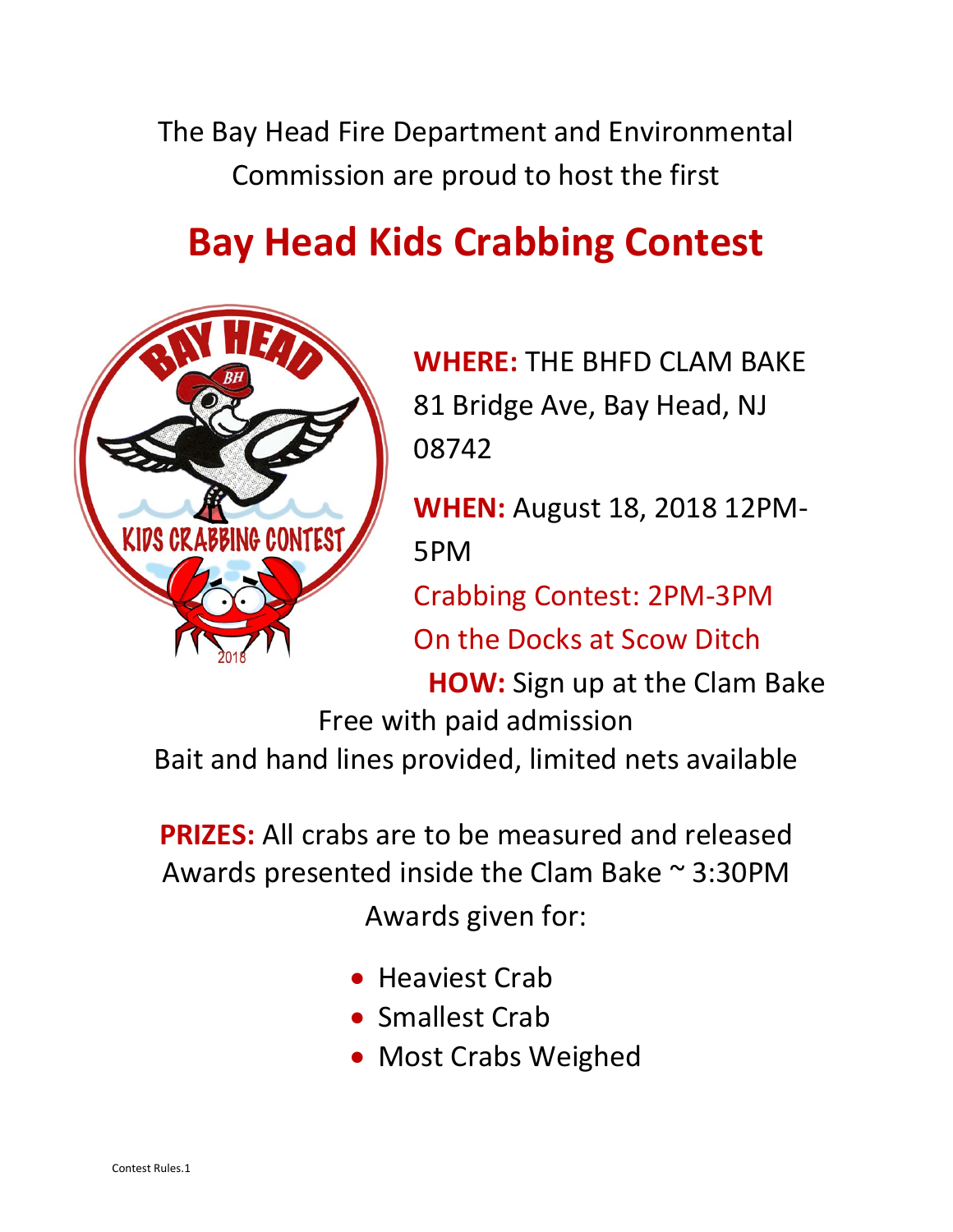The Bay Head Fire Department and Environmental Commission are proud to host the first

## **Bay Head Kids Crabbing Contest**



**WHERE:** THE BHFD CLAM BAKE 81 Bridge Ave, Bay Head, NJ 08742

**WHEN:** August 18, 2018 12PM-5PM

Crabbing Contest: 2PM-3PM On the Docks at Scow Ditch

**HOW:** Sign up at the Clam Bake Free with paid admission Bait and hand lines provided, limited nets available

**PRIZES:** All crabs are to be measured and released Awards presented inside the Clam Bake ~ 3:30PM Awards given for:

- Heaviest Crab
- Smallest Crab
- Most Crabs Weighed